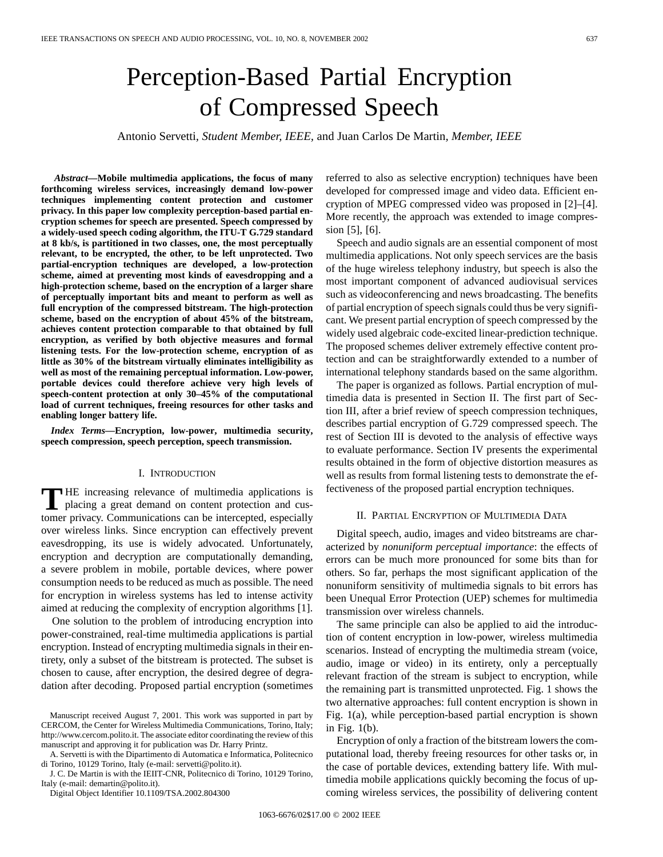# Perception-Based Partial Encryption of Compressed Speech

Antonio Servetti*, Student Member, IEEE,* and Juan Carlos De Martin*, Member, IEEE*

*Abstract—***Mobile multimedia applications, the focus of many forthcoming wireless services, increasingly demand low-power techniques implementing content protection and customer privacy. In this paper low complexity perception-based partial encryption schemes for speech are presented. Speech compressed by a widely-used speech coding algorithm, the ITU-T G.729 standard at 8 kb/s, is partitioned in two classes, one, the most perceptually relevant, to be encrypted, the other, to be left unprotected. Two partial-encryption techniques are developed, a low-protection scheme, aimed at preventing most kinds of eavesdropping and a high-protection scheme, based on the encryption of a larger share of perceptually important bits and meant to perform as well as full encryption of the compressed bitstream. The high-protection scheme, based on the encryption of about 45% of the bitstream, achieves content protection comparable to that obtained by full encryption, as verified by both objective measures and formal listening tests. For the low-protection scheme, encryption of as little as 30% of the bitstream virtually eliminates intelligibility as well as most of the remaining perceptual information. Low-power, portable devices could therefore achieve very high levels of speech-content protection at only 30–45% of the computational load of current techniques, freeing resources for other tasks and enabling longer battery life.**

*Index Terms—***Encryption, low-power, multimedia security, speech compression, speech perception, speech transmission.**

## I. INTRODUCTION

**T** HE increasing relevance of multimedia applications is placing a great demand on content protection and cus-<br>temps gives: Communications can be interested cancelelly tomer privacy. Communications can be intercepted, especially over wireless links. Since encryption can effectively prevent eavesdropping, its use is widely advocated. Unfortunately, encryption and decryption are computationally demanding, a severe problem in mobile, portable devices, where power consumption needs to be reduced as much as possible. The need for encryption in wireless systems has led to intense activity aimed at reducing the complexity of encryption algorithms [1].

One solution to the problem of introducing encryption into power-constrained, real-time multimedia applications is partial encryption. Instead of encrypting multimedia signals in their entirety, only a subset of the bitstream is protected. The subset is chosen to cause, after encryption, the desired degree of degradation after decoding. Proposed partial encryption (sometimes

A. Servetti is with the Dipartimento di Automatica e Informatica, Politecnico di Torino, 10129 Torino, Italy (e-mail: servetti@polito.it).

J. C. De Martin is with the IEIIT-CNR, Politecnico di Torino, 10129 Torino, Italy (e-mail: demartin@polito.it).

Digital Object Identifier 10.1109/TSA.2002.804300

referred to also as selective encryption) techniques have been developed for compressed image and video data. Efficient encryption of MPEG compressed video was proposed in [2]–[4]. More recently, the approach was extended to image compression [5], [6].

Speech and audio signals are an essential component of most multimedia applications. Not only speech services are the basis of the huge wireless telephony industry, but speech is also the most important component of advanced audiovisual services such as videoconferencing and news broadcasting. The benefits of partial encryption of speech signals could thus be very significant. We present partial encryption of speech compressed by the widely used algebraic code-excited linear-prediction technique. The proposed schemes deliver extremely effective content protection and can be straightforwardly extended to a number of international telephony standards based on the same algorithm.

The paper is organized as follows. Partial encryption of multimedia data is presented in Section II. The first part of Section III, after a brief review of speech compression techniques, describes partial encryption of G.729 compressed speech. The rest of Section III is devoted to the analysis of effective ways to evaluate performance. Section IV presents the experimental results obtained in the form of objective distortion measures as well as results from formal listening tests to demonstrate the effectiveness of the proposed partial encryption techniques.

## II. PARTIAL ENCRYPTION OF MULTIMEDIA DATA

Digital speech, audio, images and video bitstreams are characterized by *nonuniform perceptual importance*: the effects of errors can be much more pronounced for some bits than for others. So far, perhaps the most significant application of the nonuniform sensitivity of multimedia signals to bit errors has been Unequal Error Protection (UEP) schemes for multimedia transmission over wireless channels.

The same principle can also be applied to aid the introduction of content encryption in low-power, wireless multimedia scenarios. Instead of encrypting the multimedia stream (voice, audio, image or video) in its entirety, only a perceptually relevant fraction of the stream is subject to encryption, while the remaining part is transmitted unprotected. Fig. 1 shows the two alternative approaches: full content encryption is shown in Fig. 1(a), while perception-based partial encryption is shown in Fig. 1(b).

Encryption of only a fraction of the bitstream lowers the computational load, thereby freeing resources for other tasks or, in the case of portable devices, extending battery life. With multimedia mobile applications quickly becoming the focus of upcoming wireless services, the possibility of delivering content

Manuscript received August 7, 2001. This work was supported in part by CERCOM, the Center for Wireless Multimedia Communications, Torino, Italy; http://www.cercom.polito.it. The associate editor coordinating the review of this manuscript and approving it for publication was Dr. Harry Printz.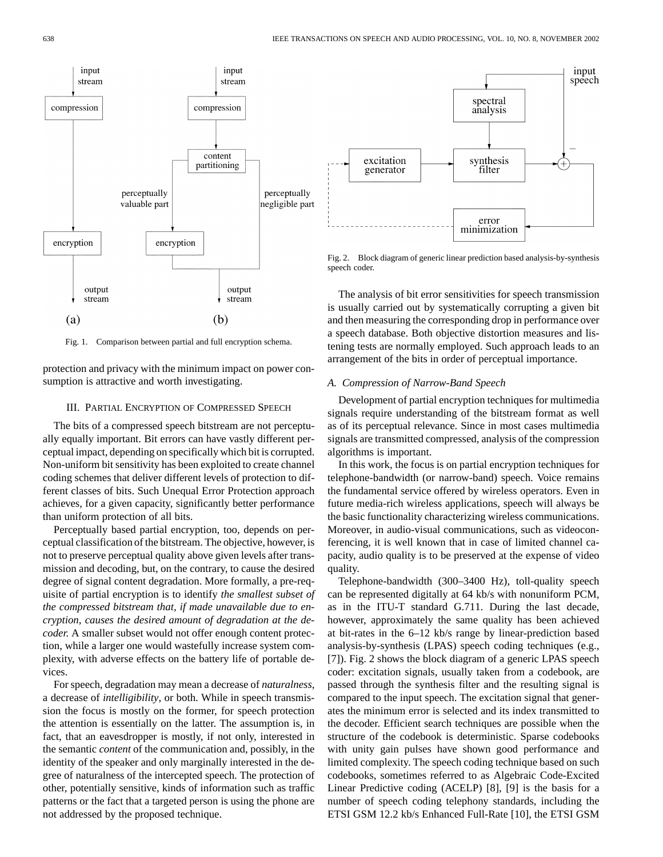

Fig. 1. Comparison between partial and full encryption schema.

protection and privacy with the minimum impact on power consumption is attractive and worth investigating.

#### III. PARTIAL ENCRYPTION OF COMPRESSED SPEECH

The bits of a compressed speech bitstream are not perceptually equally important. Bit errors can have vastly different perceptual impact, depending on specifically which bit is corrupted. Non-uniform bit sensitivity has been exploited to create channel coding schemes that deliver different levels of protection to different classes of bits. Such Unequal Error Protection approach achieves, for a given capacity, significantly better performance than uniform protection of all bits.

Perceptually based partial encryption, too, depends on perceptual classification of the bitstream. The objective, however, is not to preserve perceptual quality above given levels after transmission and decoding, but, on the contrary, to cause the desired degree of signal content degradation. More formally, a pre-requisite of partial encryption is to identify *the smallest subset of the compressed bitstream that, if made unavailable due to encryption, causes the desired amount of degradation at the decoder.* A smaller subset would not offer enough content protection, while a larger one would wastefully increase system complexity, with adverse effects on the battery life of portable devices.

For speech, degradation may mean a decrease of *naturalness*, a decrease of *intelligibility*, or both. While in speech transmission the focus is mostly on the former, for speech protection the attention is essentially on the latter. The assumption is, in fact, that an eavesdropper is mostly, if not only, interested in the semantic *content* of the communication and, possibly, in the identity of the speaker and only marginally interested in the degree of naturalness of the intercepted speech. The protection of other, potentially sensitive, kinds of information such as traffic patterns or the fact that a targeted person is using the phone are not addressed by the proposed technique.



Fig. 2. Block diagram of generic linear prediction based analysis-by-synthesis speech coder.

The analysis of bit error sensitivities for speech transmission is usually carried out by systematically corrupting a given bit and then measuring the corresponding drop in performance over a speech database. Both objective distortion measures and listening tests are normally employed. Such approach leads to an arrangement of the bits in order of perceptual importance.

## *A. Compression of Narrow-Band Speech*

Development of partial encryption techniques for multimedia signals require understanding of the bitstream format as well as of its perceptual relevance. Since in most cases multimedia signals are transmitted compressed, analysis of the compression algorithms is important.

In this work, the focus is on partial encryption techniques for telephone-bandwidth (or narrow-band) speech. Voice remains the fundamental service offered by wireless operators. Even in future media-rich wireless applications, speech will always be the basic functionality characterizing wireless communications. Moreover, in audio-visual communications, such as videoconferencing, it is well known that in case of limited channel capacity, audio quality is to be preserved at the expense of video quality.

Telephone-bandwidth (300–3400 Hz), toll-quality speech can be represented digitally at 64 kb/s with nonuniform PCM, as in the ITU-T standard G.711. During the last decade, however, approximately the same quality has been achieved at bit-rates in the 6–12 kb/s range by linear-prediction based analysis-by-synthesis (LPAS) speech coding techniques (e.g., [7]). Fig. 2 shows the block diagram of a generic LPAS speech coder: excitation signals, usually taken from a codebook, are passed through the synthesis filter and the resulting signal is compared to the input speech. The excitation signal that generates the minimum error is selected and its index transmitted to the decoder. Efficient search techniques are possible when the structure of the codebook is deterministic. Sparse codebooks with unity gain pulses have shown good performance and limited complexity. The speech coding technique based on such codebooks, sometimes referred to as Algebraic Code-Excited Linear Predictive coding (ACELP) [8], [9] is the basis for a number of speech coding telephony standards, including the ETSI GSM 12.2 kb/s Enhanced Full-Rate [10], the ETSI GSM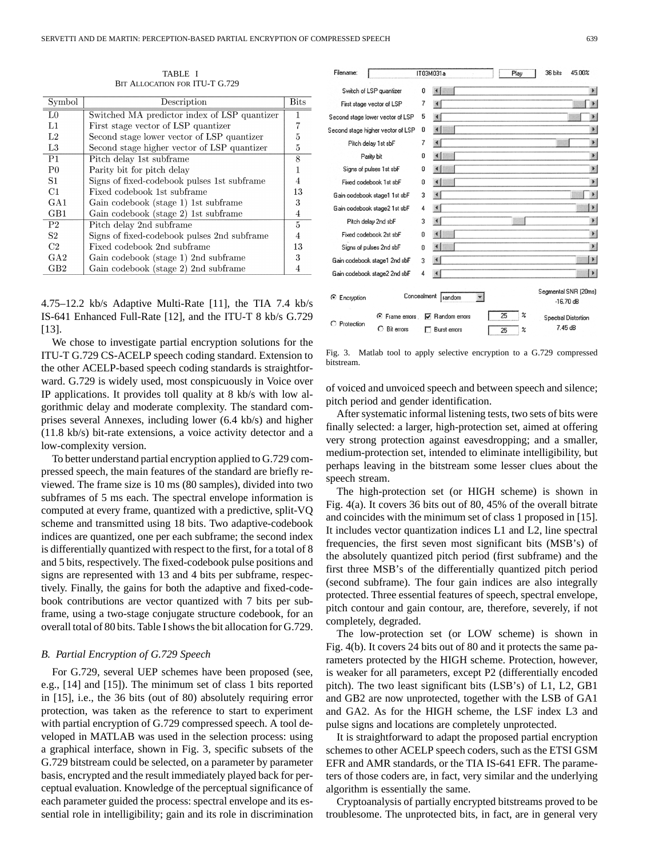TABLE I BIT ALLOCATION FOR ITU-T G.729

| Symbol          | Description                                  | <b>Bits</b> |
|-----------------|----------------------------------------------|-------------|
| L <sub>0</sub>  | Switched MA predictor index of LSP quantizer | 1           |
| L1              | First stage vector of LSP quantizer          |             |
| L <sub>2</sub>  | Second stage lower vector of LSP quantizer   | 5           |
| L3              | Second stage higher vector of LSP quantizer  | 5           |
| P <sub>1</sub>  | Pitch delay 1st subframe                     | 8           |
| P <sub>0</sub>  | Parity bit for pitch delay                   |             |
| S1              | Signs of fixed-codebook pulses 1st subframe  | 4           |
| C1              | Fixed codebook 1st subframe                  | 13          |
| GA <sub>1</sub> | Gain codebook (stage 1) 1st subframe         | 3           |
| GB1             | Gain codebook (stage 2) 1st subframe         | 4           |
| P <sub>2</sub>  | Pitch delay 2nd subframe                     | 5           |
| S <sub>2</sub>  | Signs of fixed-codebook pulses 2nd subframe  | 4           |
| C <sub>2</sub>  | Fixed codebook 2nd subframe                  | 13          |
| GA2             | Gain codebook (stage 1) 2nd subframe         | 3           |
| GB2             | Gain codebook (stage 2) 2nd subframe         |             |

4.75–12.2 kb/s Adaptive Multi-Rate [11], the TIA 7.4 kb/s IS-641 Enhanced Full-Rate [12], and the ITU-T 8 kb/s G.729 [13].

We chose to investigate partial encryption solutions for the ITU-T G.729 CS-ACELP speech coding standard. Extension to the other ACELP-based speech coding standards is straightforward. G.729 is widely used, most conspicuously in Voice over IP applications. It provides toll quality at 8 kb/s with low algorithmic delay and moderate complexity. The standard comprises several Annexes, including lower (6.4 kb/s) and higher (11.8 kb/s) bit-rate extensions, a voice activity detector and a low-complexity version.

To better understand partial encryption applied to G.729 compressed speech, the main features of the standard are briefly reviewed. The frame size is 10 ms (80 samples), divided into two subframes of 5 ms each. The spectral envelope information is computed at every frame, quantized with a predictive, split-VQ scheme and transmitted using 18 bits. Two adaptive-codebook indices are quantized, one per each subframe; the second index is differentially quantized with respect to the first, for a total of 8 and 5 bits, respectively. The fixed-codebook pulse positions and signs are represented with 13 and 4 bits per subframe, respectively. Finally, the gains for both the adaptive and fixed-codebook contributions are vector quantized with 7 bits per subframe, using a two-stage conjugate structure codebook, for an overall total of 80 bits. Table I shows the bit allocation for G.729.

# *B. Partial Encryption of G.729 Speech*

For G.729, several UEP schemes have been proposed (see, e.g., [14] and [15]). The minimum set of class 1 bits reported in [15], i.e., the 36 bits (out of 80) absolutely requiring error protection, was taken as the reference to start to experiment with partial encryption of G.729 compressed speech. A tool developed in MATLAB was used in the selection process: using a graphical interface, shown in Fig. 3, specific subsets of the G.729 bitstream could be selected, on a parameter by parameter basis, encrypted and the result immediately played back for perceptual evaluation. Knowledge of the perceptual significance of each parameter guided the process: spectral envelope and its essential role in intelligibility; gain and its role in discrimination

| Filename:                    |                                   |   | IT03M031a            | Play                             | 36 bits<br>45.00%                   |
|------------------------------|-----------------------------------|---|----------------------|----------------------------------|-------------------------------------|
|                              | Switch of LSP quantizer           | 0 |                      |                                  | Þ                                   |
|                              | First stage vector of LSP         | 7 | $\blacktriangleleft$ |                                  |                                     |
|                              | Second stage lower vector of LSP  | 5 |                      |                                  |                                     |
|                              | Second stage higher vector of LSP | 0 |                      |                                  | $\blacktriangleright$               |
|                              | Pitch delay 1st sbF               | 7 |                      |                                  | $\blacktriangleright$               |
|                              | Parity bit                        | 0 |                      |                                  | $\blacktriangleright$               |
|                              | Signs of pulses 1st sbF           | 0 |                      |                                  | E                                   |
| Fixed codebook 1st sbF       |                                   | 0 |                      |                                  | $\blacktriangleright$               |
| Gain codebook stage1 1st sbF |                                   | 3 |                      |                                  | Þ                                   |
| Gain codebook stage2 1st sbF |                                   | 4 |                      |                                  | $\blacktriangleright$               |
| Pitch delay 2nd sbF          |                                   | 3 | к                    |                                  | $\blacktriangleright$               |
| Fixed codebook 2st sbF       |                                   | 0 |                      |                                  | $\blacktriangleright$               |
| Signs of pulses 2nd sbF      |                                   | 0 |                      |                                  | $\blacktriangleright$               |
| Gain codebook stage1 2nd sbF |                                   | 3 |                      |                                  | $\mathbf{r}$                        |
| Gain codebook stage2 2nd sbF |                                   | 4 |                      |                                  | Þ                                   |
| C Encryption                 | Concealment                       |   | Irandom              |                                  | Segmental SNR (20ms)<br>$-16.70$ dB |
| o<br>Protection              | G.<br>Frame errors                |   | Random errors        | $\boldsymbol{\mathcal{U}}$<br>25 | <b>Spectral Distortion</b>          |
|                              | <b>Bit errors</b><br>O.           |   | Burst errors         | $\frac{2}{6}$<br>25              | 7.45dB                              |

Fig. 3. Matlab tool to apply selective encryption to a G.729 compressed bitstream.

of voiced and unvoiced speech and between speech and silence; pitch period and gender identification.

After systematic informal listening tests, two sets of bits were finally selected: a larger, high-protection set, aimed at offering very strong protection against eavesdropping; and a smaller, medium-protection set, intended to eliminate intelligibility, but perhaps leaving in the bitstream some lesser clues about the speech stream.

The high-protection set (or HIGH scheme) is shown in Fig. 4(a). It covers 36 bits out of 80, 45% of the overall bitrate and coincides with the minimum set of class 1 proposed in [15]. It includes vector quantization indices L1 and L2, line spectral frequencies, the first seven most significant bits (MSB's) of the absolutely quantized pitch period (first subframe) and the first three MSB's of the differentially quantized pitch period (second subframe). The four gain indices are also integrally protected. Three essential features of speech, spectral envelope, pitch contour and gain contour, are, therefore, severely, if not completely, degraded.

The low-protection set (or LOW scheme) is shown in Fig. 4(b). It covers 24 bits out of 80 and it protects the same parameters protected by the HIGH scheme. Protection, however, is weaker for all parameters, except P2 (differentially encoded pitch). The two least significant bits (LSB's) of L1, L2, GB1 and GB2 are now unprotected, together with the LSB of GA1 and GA2. As for the HIGH scheme, the LSF index L3 and pulse signs and locations are completely unprotected.

It is straightforward to adapt the proposed partial encryption schemes to other ACELP speech coders, such as the ETSI GSM EFR and AMR standards, or the TIA IS-641 EFR. The parameters of those coders are, in fact, very similar and the underlying algorithm is essentially the same.

Cryptoanalysis of partially encrypted bitstreams proved to be troublesome. The unprotected bits, in fact, are in general very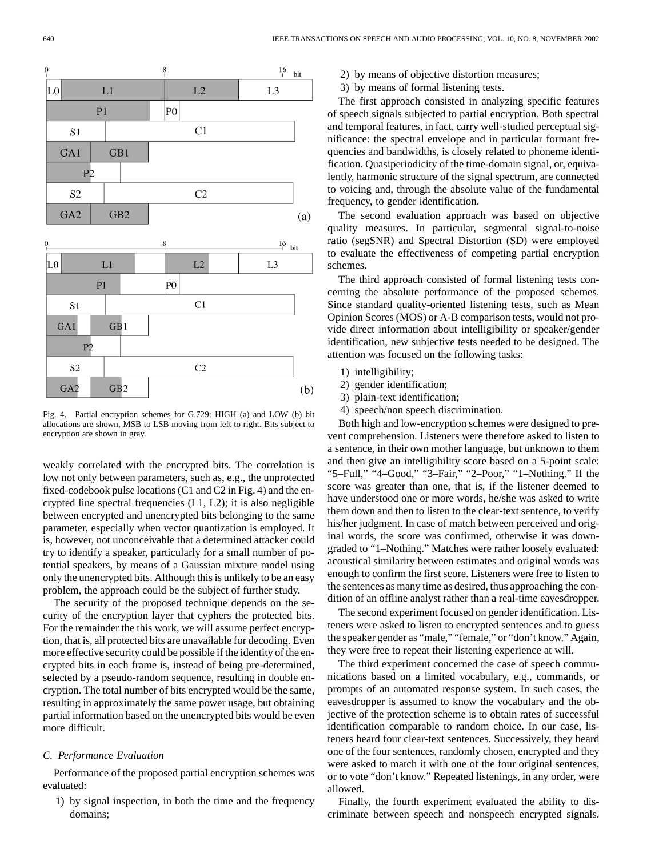

Fig. 4. Partial encryption schemes for G.729: HIGH (a) and LOW (b) bit allocations are shown, MSB to LSB moving from left to right. Bits subject to encryption are shown in gray.

weakly correlated with the encrypted bits. The correlation is low not only between parameters, such as, e.g., the unprotected fixed-codebook pulse locations (C1 and C2 in Fig. 4) and the encrypted line spectral frequencies (L1, L2); it is also negligible between encrypted and unencrypted bits belonging to the same parameter, especially when vector quantization is employed. It is, however, not unconceivable that a determined attacker could try to identify a speaker, particularly for a small number of potential speakers, by means of a Gaussian mixture model using only the unencrypted bits. Although this is unlikely to be an easy problem, the approach could be the subject of further study.

The security of the proposed technique depends on the security of the encryption layer that cyphers the protected bits. For the remainder the this work, we will assume perfect encryption, that is, all protected bits are unavailable for decoding. Even more effective security could be possible if the identity of the encrypted bits in each frame is, instead of being pre-determined, selected by a pseudo-random sequence, resulting in double encryption. The total number of bits encrypted would be the same, resulting in approximately the same power usage, but obtaining partial information based on the unencrypted bits would be even more difficult.

## *C. Performance Evaluation*

Performance of the proposed partial encryption schemes was evaluated:

1) by signal inspection, in both the time and the frequency domains;

2) by means of objective distortion measures;

3) by means of formal listening tests.

The first approach consisted in analyzing specific features of speech signals subjected to partial encryption. Both spectral and temporal features, in fact, carry well-studied perceptual significance: the spectral envelope and in particular formant frequencies and bandwidths, is closely related to phoneme identification. Quasiperiodicity of the time-domain signal, or, equivalently, harmonic structure of the signal spectrum, are connected to voicing and, through the absolute value of the fundamental frequency, to gender identification.

The second evaluation approach was based on objective quality measures. In particular, segmental signal-to-noise ratio (segSNR) and Spectral Distortion (SD) were employed to evaluate the effectiveness of competing partial encryption schemes.

The third approach consisted of formal listening tests concerning the absolute performance of the proposed schemes. Since standard quality-oriented listening tests, such as Mean Opinion Scores (MOS) or A-B comparison tests, would not provide direct information about intelligibility or speaker/gender identification, new subjective tests needed to be designed. The attention was focused on the following tasks:

- 1) intelligibility;
- 2) gender identification;
- 3) plain-text identification;
- 4) speech/non speech discrimination.

Both high and low-encryption schemes were designed to prevent comprehension. Listeners were therefore asked to listen to a sentence, in their own mother language, but unknown to them and then give an intelligibility score based on a 5-point scale: "5–Full," "4–Good," "3–Fair," "2–Poor," "1–Nothing." If the score was greater than one, that is, if the listener deemed to have understood one or more words, he/she was asked to write them down and then to listen to the clear-text sentence, to verify his/her judgment. In case of match between perceived and original words, the score was confirmed, otherwise it was downgraded to "1–Nothing." Matches were rather loosely evaluated: acoustical similarity between estimates and original words was enough to confirm the first score. Listeners were free to listen to the sentences as many time as desired, thus approaching the condition of an offline analyst rather than a real-time eavesdropper.

The second experiment focused on gender identification. Listeners were asked to listen to encrypted sentences and to guess the speaker gender as "male," "female," or "don't know." Again, they were free to repeat their listening experience at will.

The third experiment concerned the case of speech communications based on a limited vocabulary, e.g., commands, or prompts of an automated response system. In such cases, the eavesdropper is assumed to know the vocabulary and the objective of the protection scheme is to obtain rates of successful identification comparable to random choice. In our case, listeners heard four clear-text sentences. Successively, they heard one of the four sentences, randomly chosen, encrypted and they were asked to match it with one of the four original sentences, or to vote "don't know." Repeated listenings, in any order, were allowed.

Finally, the fourth experiment evaluated the ability to discriminate between speech and nonspeech encrypted signals.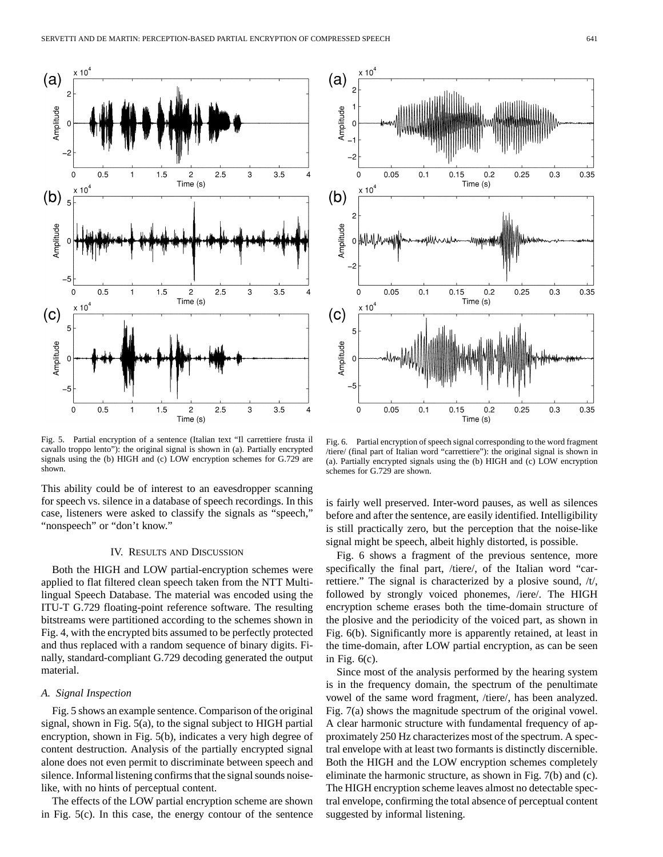



Fig. 5. Partial encryption of a sentence (Italian text "Il carrettiere frusta il cavallo troppo lento"): the original signal is shown in (a). Partially encrypted signals using the (b) HIGH and (c) LOW encryption schemes for G.729 are shown.

This ability could be of interest to an eavesdropper scanning for speech vs. silence in a database of speech recordings. In this case, listeners were asked to classify the signals as "speech," "nonspeech" or "don't know."

## IV. RESULTS AND DISCUSSION

Both the HIGH and LOW partial-encryption schemes were applied to flat filtered clean speech taken from the NTT Multilingual Speech Database. The material was encoded using the ITU-T G.729 floating-point reference software. The resulting bitstreams were partitioned according to the schemes shown in Fig. 4, with the encrypted bits assumed to be perfectly protected and thus replaced with a random sequence of binary digits. Finally, standard-compliant G.729 decoding generated the output material.

## *A. Signal Inspection*

Fig. 5 shows an example sentence. Comparison of the original signal, shown in Fig. 5(a), to the signal subject to HIGH partial encryption, shown in Fig. 5(b), indicates a very high degree of content destruction. Analysis of the partially encrypted signal alone does not even permit to discriminate between speech and silence. Informal listening confirms that the signal sounds noiselike, with no hints of perceptual content.

The effects of the LOW partial encryption scheme are shown in Fig. 5(c). In this case, the energy contour of the sentence

Fig. 6. Partial encryption of speech signal corresponding to the word fragment /tiere/ (final part of Italian word "carrettiere"): the original signal is shown in (a). Partially encrypted signals using the (b) HIGH and (c) LOW encryption schemes for G.729 are shown.

is fairly well preserved. Inter-word pauses, as well as silences before and after the sentence, are easily identified. Intelligibility is still practically zero, but the perception that the noise-like signal might be speech, albeit highly distorted, is possible.

Fig. 6 shows a fragment of the previous sentence, more specifically the final part, /tiere/, of the Italian word "carrettiere." The signal is characterized by a plosive sound, /t/, followed by strongly voiced phonemes, /iere/. The HIGH encryption scheme erases both the time-domain structure of the plosive and the periodicity of the voiced part, as shown in Fig. 6(b). Significantly more is apparently retained, at least in the time-domain, after LOW partial encryption, as can be seen in Fig.  $6(c)$ .

Since most of the analysis performed by the hearing system is in the frequency domain, the spectrum of the penultimate vowel of the same word fragment, /tiere/, has been analyzed. Fig. 7(a) shows the magnitude spectrum of the original vowel. A clear harmonic structure with fundamental frequency of approximately 250 Hz characterizes most of the spectrum. A spectral envelope with at least two formants is distinctly discernible. Both the HIGH and the LOW encryption schemes completely eliminate the harmonic structure, as shown in Fig. 7(b) and (c). The HIGH encryption scheme leaves almost no detectable spectral envelope, confirming the total absence of perceptual content suggested by informal listening.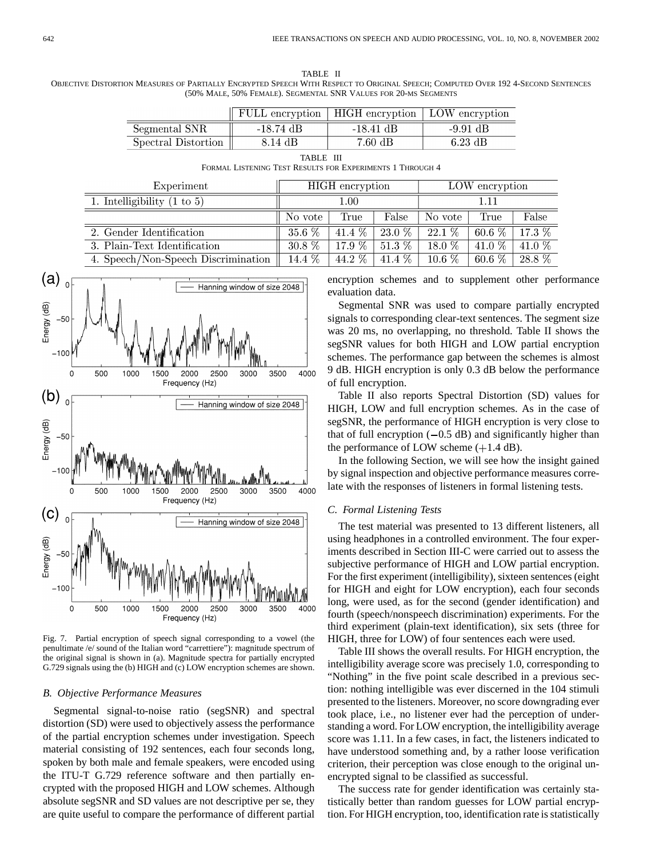TABLE II OBJECTIVE DISTORTION MEASURES OF PARTIALLY ENCRYPTED SPEECH WITH RESPECT TO ORIGINAL SPEECH; COMPUTED OVER 192 4-SECOND SENTENCES (50% MALE, 50% FEMALE). SEGMENTAL SNR VALUES FOR 20-MS SEGMENTS

|                     |                   | FULL encryption   HIGH encryption   LOW encryption |                   |
|---------------------|-------------------|----------------------------------------------------|-------------------|
| Segmental SNR       | -18.74 dB         | -18.41 dB                                          | -9.91 dB          |
| Spectral Distortion | $8.14 \text{ dB}$ | $7.60 \text{ dB}$                                  | $6.23 \text{ dB}$ |

TABLE III

| FORMAL LISTENING TEST RESULTS FOR EXPERIMENTS 1 THROUGH 4 |  |
|-----------------------------------------------------------|--|
|-----------------------------------------------------------|--|

| Experiment                             | <b>HIGH</b> encryption |          |                       | LOW encryption |          |          |
|----------------------------------------|------------------------|----------|-----------------------|----------------|----------|----------|
| 1. Intelligibility $(1 \text{ to } 5)$ |                        | 1.00     |                       | 1.11           |          |          |
|                                        | No vote                | True     | False                 | No vote        | True     | False    |
| 2. Gender Identification               | $35.6\%$               | $41.4\%$ | $23.0\ \overline{\%}$ | $22.1\%$       | $60.6\%$ | $17.3\%$ |
| 3. Plain-Text Identification           | $30.8\%$               | 17.9 %   | $51.\overline{3~\%}$  | 18.0 %         | 41.0 %   | 41.0 $%$ |
| 4. Speech/Non-Speech Discrimination    | $14.4\%$               | 44.2 %   | 41.4 %                | $10.6\%$       | $60.6\%$ | 28.8%    |



Fig. 7. Partial encryption of speech signal corresponding to a vowel (the penultimate /e/ sound of the Italian word "carrettiere"): magnitude spectrum of the original signal is shown in (a). Magnitude spectra for partially encrypted G.729 signals using the (b) HIGH and (c) LOW encryption schemes are shown.

#### *B. Objective Performance Measures*

Segmental signal-to-noise ratio (segSNR) and spectral distortion (SD) were used to objectively assess the performance of the partial encryption schemes under investigation. Speech material consisting of 192 sentences, each four seconds long, spoken by both male and female speakers, were encoded using the ITU-T G.729 reference software and then partially encrypted with the proposed HIGH and LOW schemes. Although absolute segSNR and SD values are not descriptive per se, they are quite useful to compare the performance of different partial encryption schemes and to supplement other performance evaluation data.

Segmental SNR was used to compare partially encrypted signals to corresponding clear-text sentences. The segment size was 20 ms, no overlapping, no threshold. Table II shows the segSNR values for both HIGH and LOW partial encryption schemes. The performance gap between the schemes is almost 9 dB. HIGH encryption is only 0.3 dB below the performance of full encryption.

Table II also reports Spectral Distortion (SD) values for HIGH, LOW and full encryption schemes. As in the case of segSNR, the performance of HIGH encryption is very close to that of full encryption  $(-0.5 \text{ dB})$  and significantly higher than the performance of LOW scheme  $(+1.4 \text{ dB})$ .

In the following Section, we will see how the insight gained by signal inspection and objective performance measures correlate with the responses of listeners in formal listening tests.

#### *C. Formal Listening Tests*

The test material was presented to 13 different listeners, all using headphones in a controlled environment. The four experiments described in Section III-C were carried out to assess the subjective performance of HIGH and LOW partial encryption. For the first experiment (intelligibility), sixteen sentences (eight for HIGH and eight for LOW encryption), each four seconds long, were used, as for the second (gender identification) and fourth (speech/nonspeech discrimination) experiments. For the third experiment (plain-text identification), six sets (three for HIGH, three for LOW) of four sentences each were used.

Table III shows the overall results. For HIGH encryption, the intelligibility average score was precisely 1.0, corresponding to "Nothing" in the five point scale described in a previous section: nothing intelligible was ever discerned in the 104 stimuli presented to the listeners. Moreover, no score downgrading ever took place, i.e., no listener ever had the perception of understanding a word. For LOW encryption, the intelligibility average score was 1.11. In a few cases, in fact, the listeners indicated to have understood something and, by a rather loose verification criterion, their perception was close enough to the original unencrypted signal to be classified as successful.

The success rate for gender identification was certainly statistically better than random guesses for LOW partial encryption. For HIGH encryption, too, identification rate is statistically